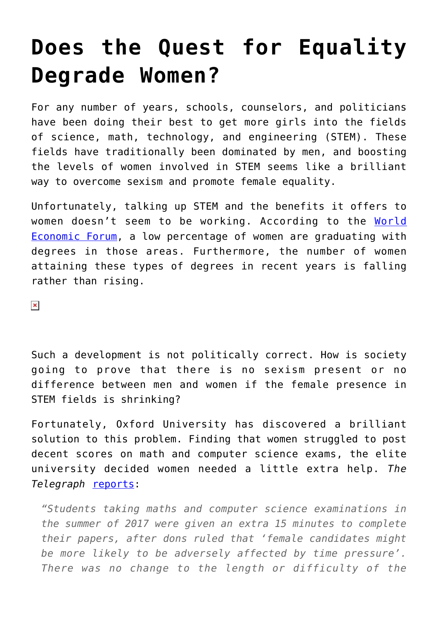## **[Does the Quest for Equality](https://intellectualtakeout.org/2018/01/does-the-quest-for-equality-degrade-women/) [Degrade Women?](https://intellectualtakeout.org/2018/01/does-the-quest-for-equality-degrade-women/)**

For any number of years, schools, counselors, and politicians have been doing their best to get more girls into the fields of science, math, technology, and engineering (STEM). These fields have traditionally been dominated by men, and boosting the levels of women involved in STEM seems like a brilliant way to overcome sexism and promote female equality.

Unfortunately, talking up STEM and the benefits it offers to women doesn't seem to be working. According to the [World](https://www.weforum.org/agenda/2017/03/women-are-still-under-represented-in-science-maths-and-engineering-heres-what-we-can-do) [Economic Forum](https://www.weforum.org/agenda/2017/03/women-are-still-under-represented-in-science-maths-and-engineering-heres-what-we-can-do), a low percentage of women are graduating with degrees in those areas. Furthermore, the number of women attaining these types of degrees in recent years is falling rather than rising.

 $\pmb{\times}$ 

Such a development is not politically correct. How is society going to prove that there is no sexism present or no difference between men and women if the female presence in STEM fields is shrinking?

Fortunately, Oxford University has discovered a brilliant solution to this problem. Finding that women struggled to post decent scores on math and computer science exams, the elite university decided women needed a little extra help. *The Telegraph* [reports:](http://www.telegraph.co.uk/education/2018/01/22/oxford-university-gives-women-time-pass-exams/)

*"Students taking maths and computer science examinations in the summer of 2017 were given an extra 15 minutes to complete their papers, after dons ruled that 'female candidates might be more likely to be adversely affected by time pressure'. There was no change to the length or difficulty of the*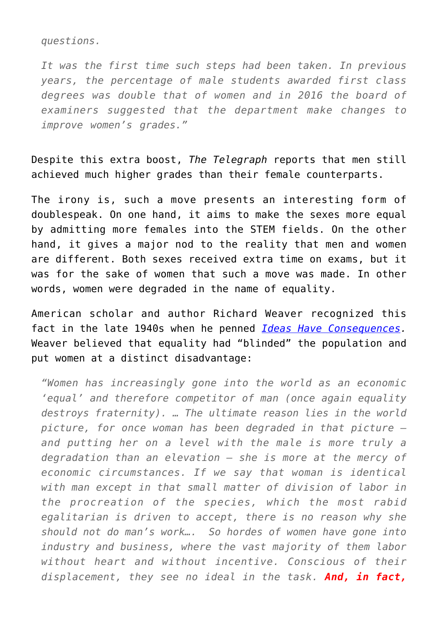*questions.*

*It was the first time such steps had been taken. In previous years, the percentage of male students awarded first class degrees was double that of women and in 2016 the board of examiners suggested that the department make changes to improve women's grades."*

Despite this extra boost, *The Telegraph* reports that men still achieved much higher grades than their female counterparts.

The irony is, such a move presents an interesting form of doublespeak. On one hand, it aims to make the sexes more equal by admitting more females into the STEM fields. On the other hand, it gives a major nod to the reality that men and women are different. Both sexes received extra time on exams, but it was for the sake of women that such a move was made. In other words, women were degraded in the name of equality.

American scholar and author Richard Weaver recognized this fact in the late 1940s when he penned *[Ideas Have Consequences.](https://www.amazon.com/gp/product/022609006X/ref=as_li_qf_sp_asin_il_tl?ie=UTF8&tag=intelltakeo0d-20&camp=1789&creative=9325&linkCode=as2&creativeASIN=022609006X&linkId=34ffd91914fad12b0bb94f9c5b4e3722)* Weaver believed that equality had "blinded" the population and put women at a distinct disadvantage:

*"Women has increasingly gone into the world as an economic 'equal' and therefore competitor of man (once again equality destroys fraternity). … The ultimate reason lies in the world picture, for once woman has been degraded in that picture – and putting her on a level with the male is more truly a degradation than an elevation – she is more at the mercy of economic circumstances. If we say that woman is identical with man except in that small matter of division of labor in the procreation of the species, which the most rabid egalitarian is driven to accept, there is no reason why she should not do man's work…. So hordes of women have gone into industry and business, where the vast majority of them labor without heart and without incentive. Conscious of their displacement, they see no ideal in the task. And, in fact,*